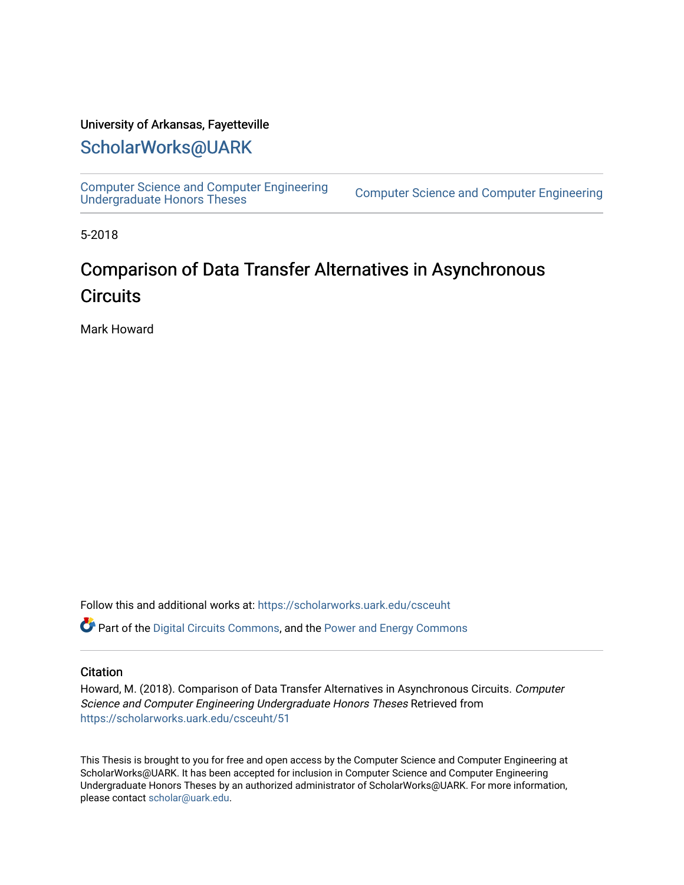### University of Arkansas, Fayetteville

# [ScholarWorks@UARK](https://scholarworks.uark.edu/)

[Computer Science and Computer Engineering](https://scholarworks.uark.edu/csceuht) 

Computer Science and Computer Engineering

5-2018

# Comparison of Data Transfer Alternatives in Asynchronous **Circuits**

Mark Howard

Follow this and additional works at: [https://scholarworks.uark.edu/csceuht](https://scholarworks.uark.edu/csceuht?utm_source=scholarworks.uark.edu%2Fcsceuht%2F51&utm_medium=PDF&utm_campaign=PDFCoverPages)

Part of the [Digital Circuits Commons](http://network.bepress.com/hgg/discipline/260?utm_source=scholarworks.uark.edu%2Fcsceuht%2F51&utm_medium=PDF&utm_campaign=PDFCoverPages), and the [Power and Energy Commons](http://network.bepress.com/hgg/discipline/274?utm_source=scholarworks.uark.edu%2Fcsceuht%2F51&utm_medium=PDF&utm_campaign=PDFCoverPages) 

#### **Citation**

Howard, M. (2018). Comparison of Data Transfer Alternatives in Asynchronous Circuits. Computer Science and Computer Engineering Undergraduate Honors Theses Retrieved from [https://scholarworks.uark.edu/csceuht/51](https://scholarworks.uark.edu/csceuht/51?utm_source=scholarworks.uark.edu%2Fcsceuht%2F51&utm_medium=PDF&utm_campaign=PDFCoverPages) 

This Thesis is brought to you for free and open access by the Computer Science and Computer Engineering at ScholarWorks@UARK. It has been accepted for inclusion in Computer Science and Computer Engineering Undergraduate Honors Theses by an authorized administrator of ScholarWorks@UARK. For more information, please contact [scholar@uark.edu](mailto:scholar@uark.edu).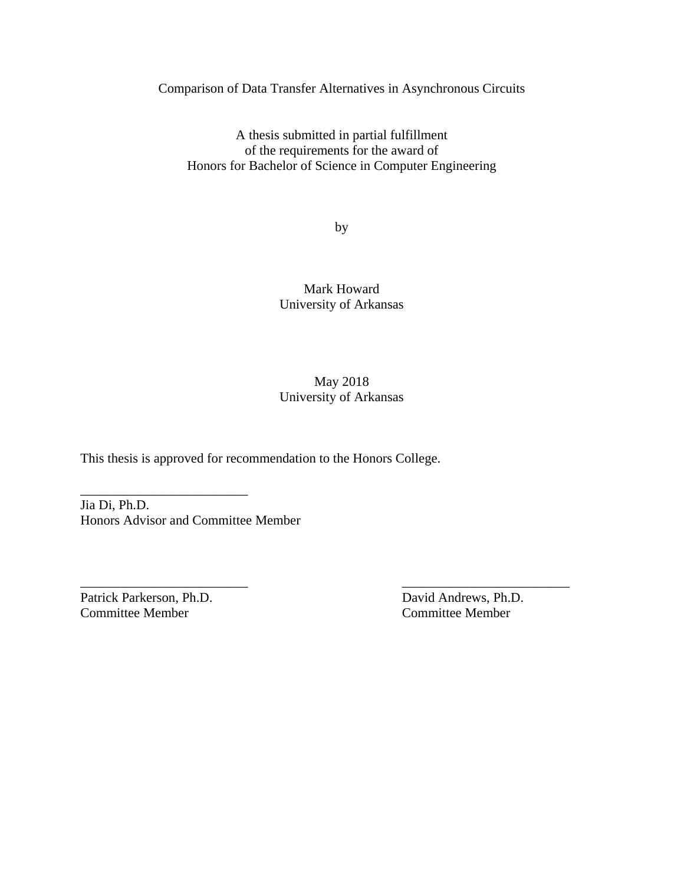Comparison of Data Transfer Alternatives in Asynchronous Circuits

A thesis submitted in partial fulfillment of the requirements for the award of Honors for Bachelor of Science in Computer Engineering

by

Mark Howard University of Arkansas

May 2018 University of Arkansas

\_\_\_\_\_\_\_\_\_\_\_\_\_\_\_\_\_\_\_\_\_\_\_\_\_ \_\_\_\_\_\_\_\_\_\_\_\_\_\_\_\_\_\_\_\_\_\_\_\_\_

This thesis is approved for recommendation to the Honors College.

Jia Di, Ph.D. Honors Advisor and Committee Member

\_\_\_\_\_\_\_\_\_\_\_\_\_\_\_\_\_\_\_\_\_\_\_\_\_

Patrick Parkerson, Ph.D. David Andrews, Ph.D. Committee Member Committee Member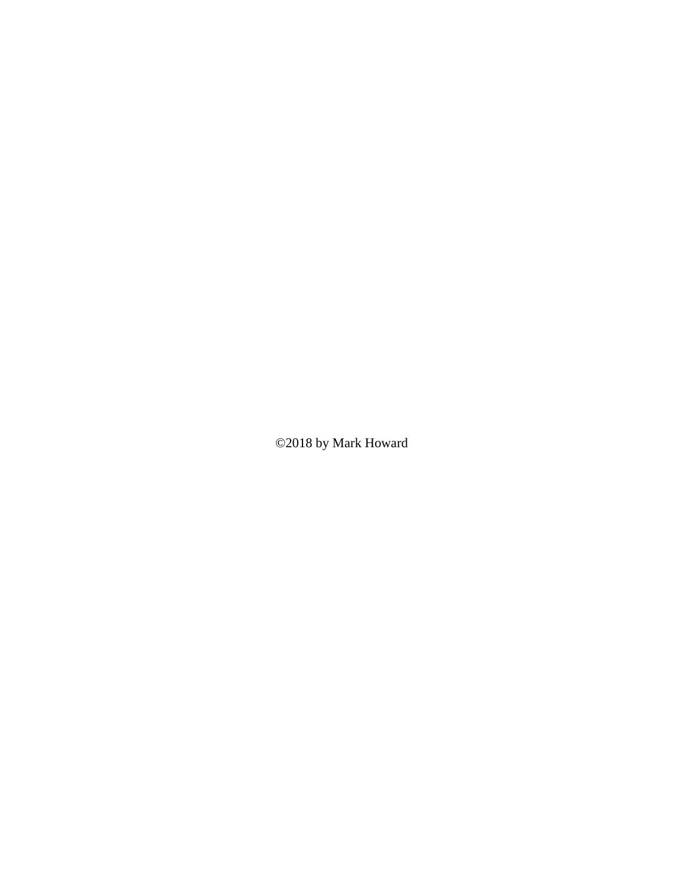©2018 by Mark Howard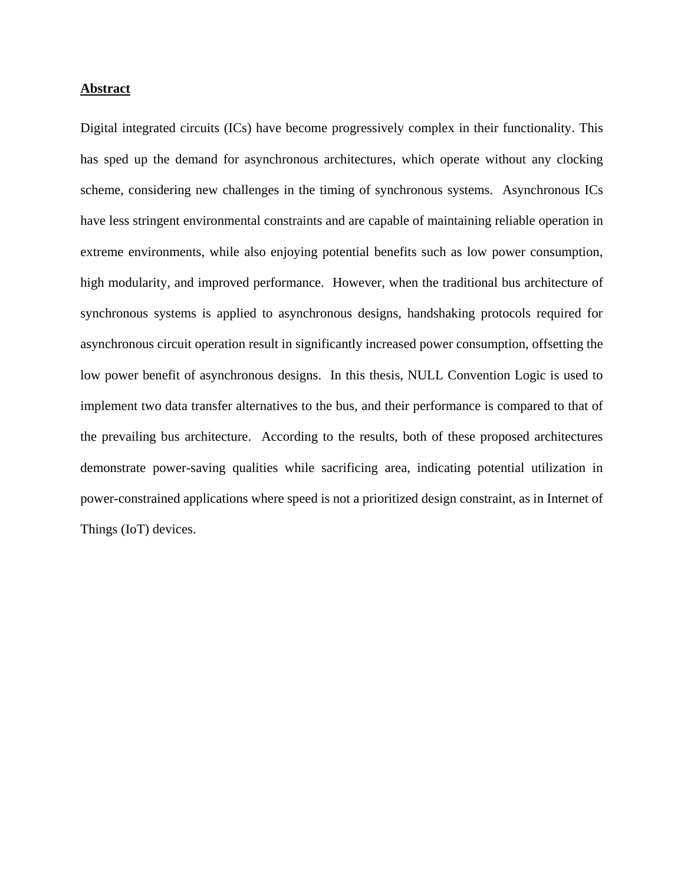### **Abstract**

Digital integrated circuits (ICs) have become progressively complex in their functionality. This has sped up the demand for asynchronous architectures, which operate without any clocking scheme, considering new challenges in the timing of synchronous systems. Asynchronous ICs have less stringent environmental constraints and are capable of maintaining reliable operation in extreme environments, while also enjoying potential benefits such as low power consumption, high modularity, and improved performance. However, when the traditional bus architecture of synchronous systems is applied to asynchronous designs, handshaking protocols required for asynchronous circuit operation result in significantly increased power consumption, offsetting the low power benefit of asynchronous designs. In this thesis, NULL Convention Logic is used to implement two data transfer alternatives to the bus, and their performance is compared to that of the prevailing bus architecture. According to the results, both of these proposed architectures demonstrate power-saving qualities while sacrificing area, indicating potential utilization in power-constrained applications where speed is not a prioritized design constraint, as in Internet of Things (IoT) devices.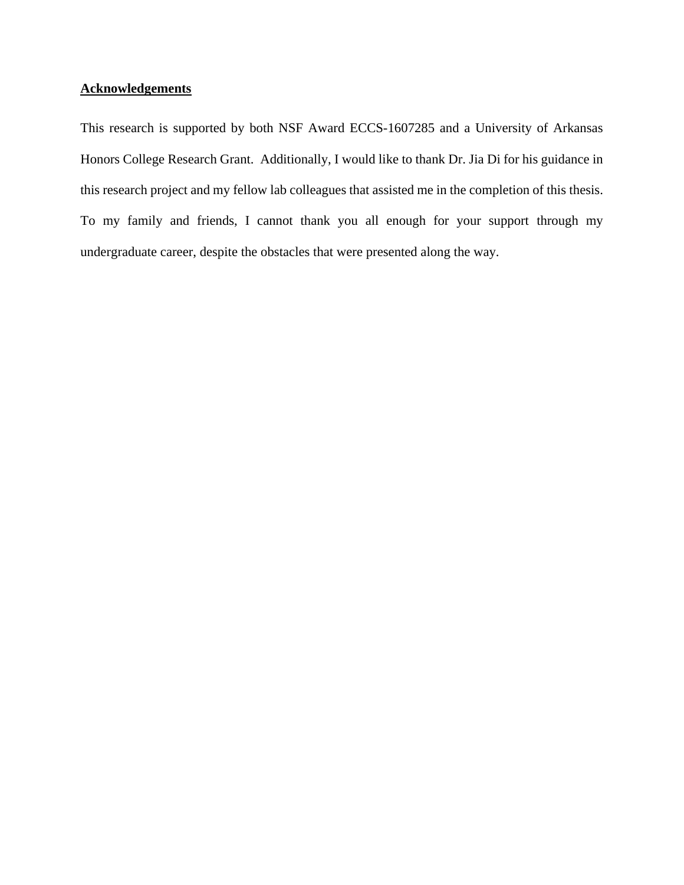# **Acknowledgements**

This research is supported by both NSF Award ECCS-1607285 and a University of Arkansas Honors College Research Grant. Additionally, I would like to thank Dr. Jia Di for his guidance in this research project and my fellow lab colleagues that assisted me in the completion of this thesis. To my family and friends, I cannot thank you all enough for your support through my undergraduate career, despite the obstacles that were presented along the way.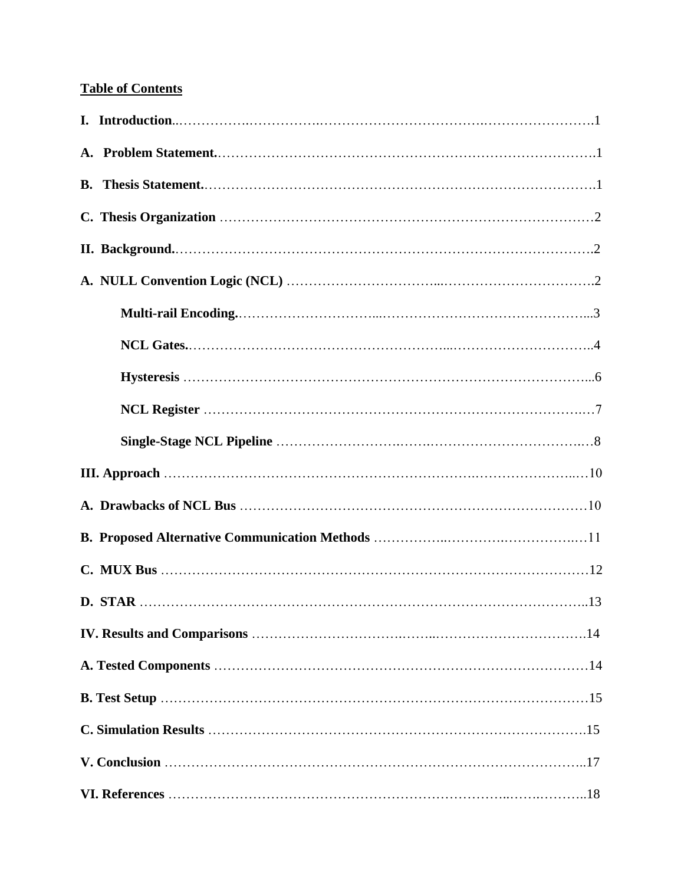# **Table of Contents**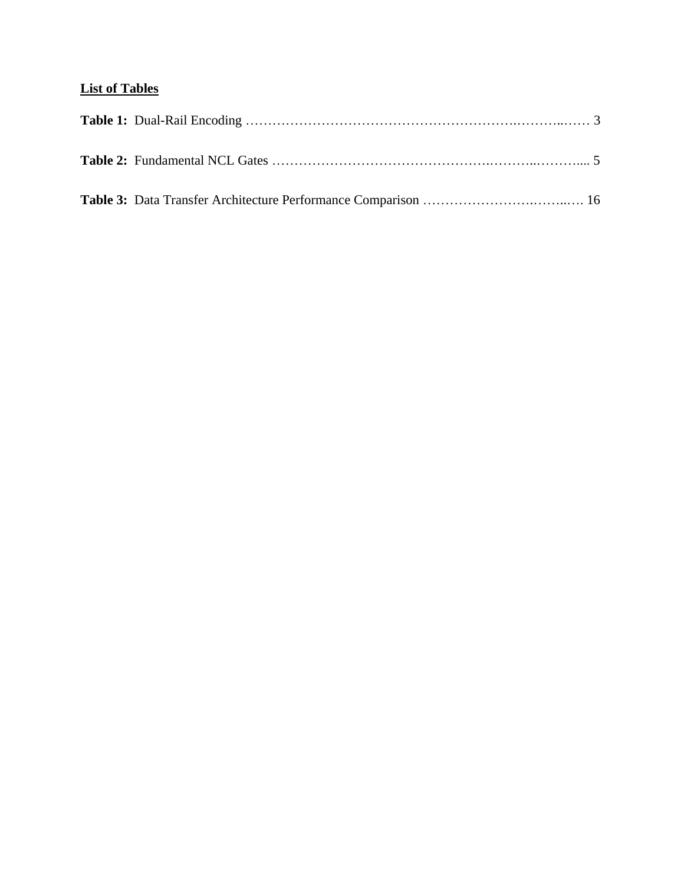# **List of Tables**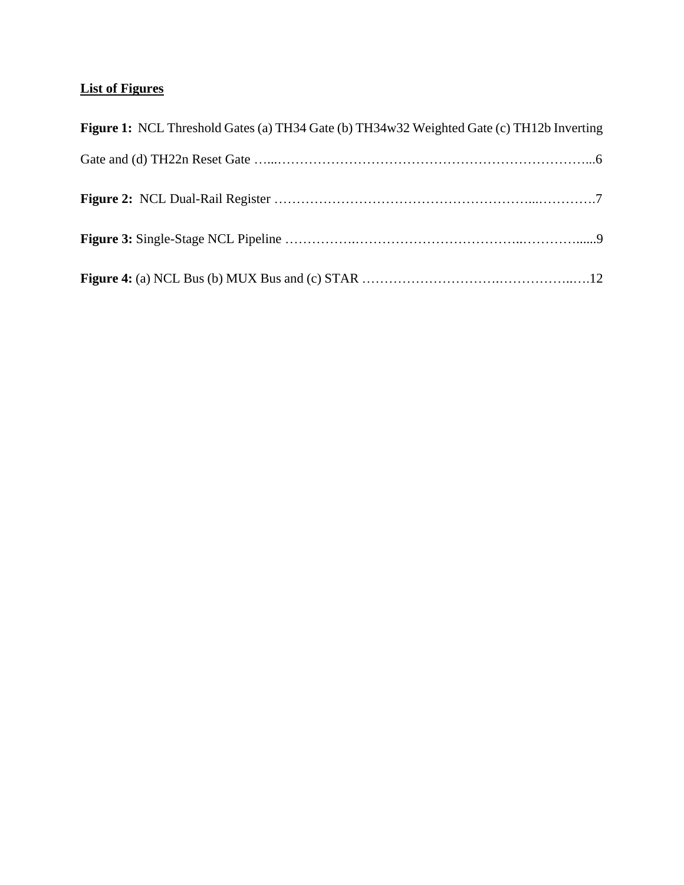# **List of Figures**

| Figure 1: NCL Threshold Gates (a) TH34 Gate (b) TH34w32 Weighted Gate (c) TH12b Inverting |
|-------------------------------------------------------------------------------------------|
|                                                                                           |
|                                                                                           |
|                                                                                           |
|                                                                                           |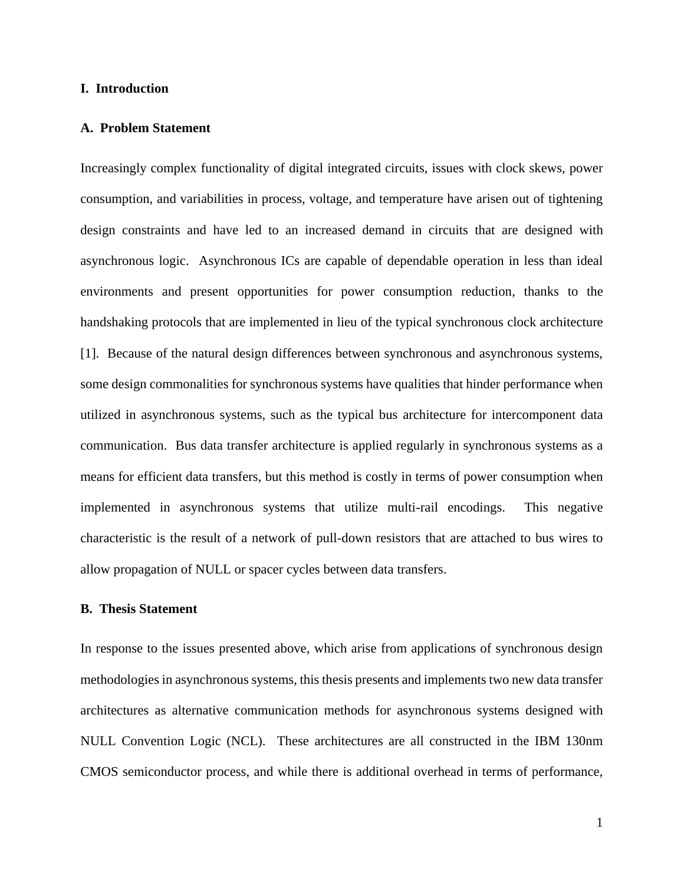#### **I. Introduction**

#### **A. Problem Statement**

Increasingly complex functionality of digital integrated circuits, issues with clock skews, power consumption, and variabilities in process, voltage, and temperature have arisen out of tightening design constraints and have led to an increased demand in circuits that are designed with asynchronous logic. Asynchronous ICs are capable of dependable operation in less than ideal environments and present opportunities for power consumption reduction, thanks to the handshaking protocols that are implemented in lieu of the typical synchronous clock architecture [1]. Because of the natural design differences between synchronous and asynchronous systems, some design commonalities for synchronous systems have qualities that hinder performance when utilized in asynchronous systems, such as the typical bus architecture for intercomponent data communication. Bus data transfer architecture is applied regularly in synchronous systems as a means for efficient data transfers, but this method is costly in terms of power consumption when implemented in asynchronous systems that utilize multi-rail encodings. This negative characteristic is the result of a network of pull-down resistors that are attached to bus wires to allow propagation of NULL or spacer cycles between data transfers.

### **B. Thesis Statement**

In response to the issues presented above, which arise from applications of synchronous design methodologies in asynchronous systems, this thesis presents and implements two new data transfer architectures as alternative communication methods for asynchronous systems designed with NULL Convention Logic (NCL). These architectures are all constructed in the IBM 130nm CMOS semiconductor process, and while there is additional overhead in terms of performance,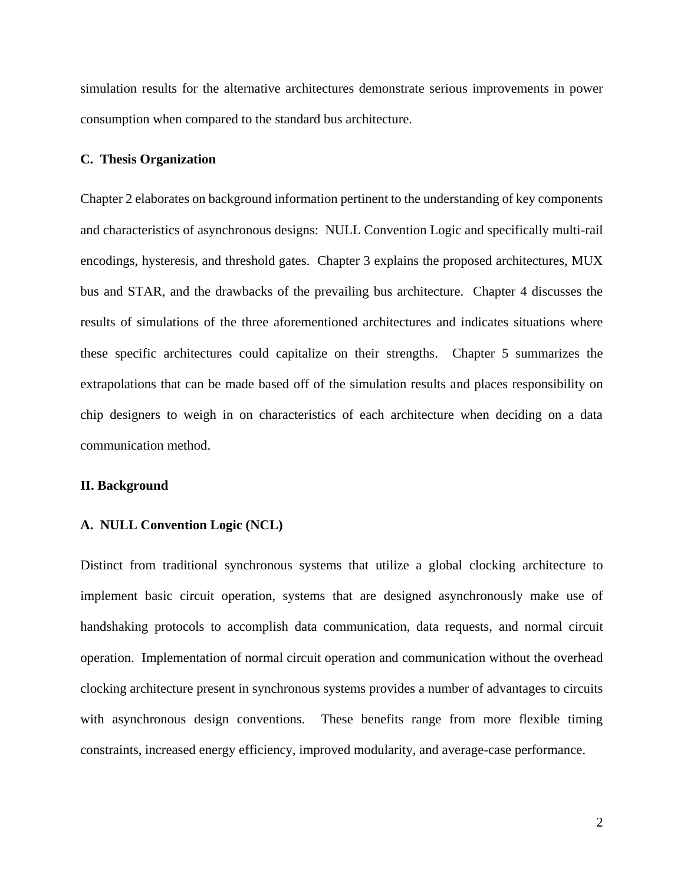simulation results for the alternative architectures demonstrate serious improvements in power consumption when compared to the standard bus architecture.

#### **C. Thesis Organization**

Chapter 2 elaborates on background information pertinent to the understanding of key components and characteristics of asynchronous designs: NULL Convention Logic and specifically multi-rail encodings, hysteresis, and threshold gates. Chapter 3 explains the proposed architectures, MUX bus and STAR, and the drawbacks of the prevailing bus architecture. Chapter 4 discusses the results of simulations of the three aforementioned architectures and indicates situations where these specific architectures could capitalize on their strengths. Chapter 5 summarizes the extrapolations that can be made based off of the simulation results and places responsibility on chip designers to weigh in on characteristics of each architecture when deciding on a data communication method.

#### **II. Background**

#### **A. NULL Convention Logic (NCL)**

Distinct from traditional synchronous systems that utilize a global clocking architecture to implement basic circuit operation, systems that are designed asynchronously make use of handshaking protocols to accomplish data communication, data requests, and normal circuit operation. Implementation of normal circuit operation and communication without the overhead clocking architecture present in synchronous systems provides a number of advantages to circuits with asynchronous design conventions. These benefits range from more flexible timing constraints, increased energy efficiency, improved modularity, and average-case performance.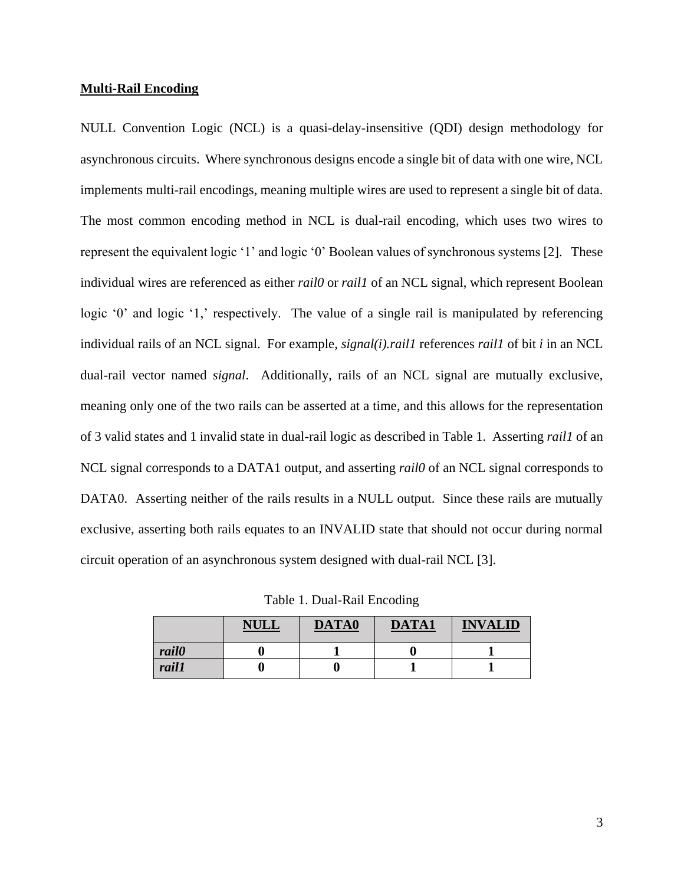### **Multi-Rail Encoding**

NULL Convention Logic (NCL) is a quasi-delay-insensitive (QDI) design methodology for asynchronous circuits. Where synchronous designs encode a single bit of data with one wire, NCL implements multi-rail encodings, meaning multiple wires are used to represent a single bit of data. The most common encoding method in NCL is dual-rail encoding, which uses two wires to represent the equivalent logic '1' and logic '0' Boolean values of synchronous systems [2]. These individual wires are referenced as either *rail0* or *rail1* of an NCL signal, which represent Boolean logic '0' and logic '1,' respectively. The value of a single rail is manipulated by referencing individual rails of an NCL signal. For example, *signal(i).rail1* references *rail1* of bit *i* in an NCL dual-rail vector named *signal*. Additionally, rails of an NCL signal are mutually exclusive, meaning only one of the two rails can be asserted at a time, and this allows for the representation of 3 valid states and 1 invalid state in dual-rail logic as described in Table 1. Asserting *rail1* of an NCL signal corresponds to a DATA1 output, and asserting *rail0* of an NCL signal corresponds to DATA0. Asserting neither of the rails results in a NULL output. Since these rails are mutually exclusive, asserting both rails equates to an INVALID state that should not occur during normal circuit operation of an asynchronous system designed with dual-rail NCL [3].

Table 1. Dual-Rail Encoding

|              | <b>NULL</b> | DATA0 | <b>DATA1</b> | <b>INVALID</b> |
|--------------|-------------|-------|--------------|----------------|
| <i>rail0</i> |             |       |              |                |
| rail1        | U           |       |              |                |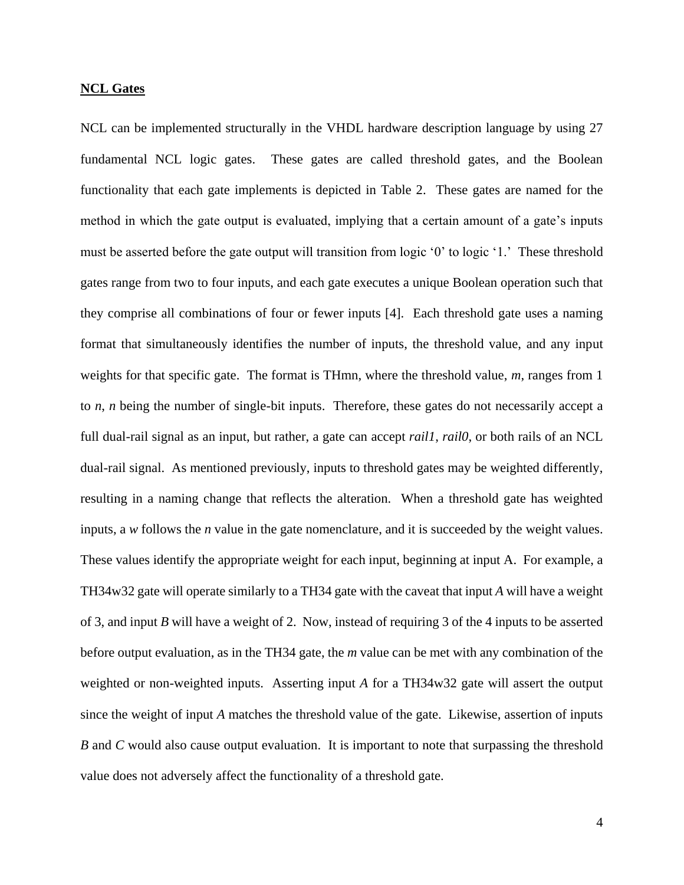#### **NCL Gates**

NCL can be implemented structurally in the VHDL hardware description language by using 27 fundamental NCL logic gates. These gates are called threshold gates, and the Boolean functionality that each gate implements is depicted in Table 2. These gates are named for the method in which the gate output is evaluated, implying that a certain amount of a gate's inputs must be asserted before the gate output will transition from logic '0' to logic '1.' These threshold gates range from two to four inputs, and each gate executes a unique Boolean operation such that they comprise all combinations of four or fewer inputs [4]. Each threshold gate uses a naming format that simultaneously identifies the number of inputs, the threshold value, and any input weights for that specific gate. The format is THmn, where the threshold value, *m*, ranges from 1 to *n*, *n* being the number of single-bit inputs. Therefore, these gates do not necessarily accept a full dual-rail signal as an input, but rather, a gate can accept *rail1*, *rail0*, or both rails of an NCL dual-rail signal. As mentioned previously, inputs to threshold gates may be weighted differently, resulting in a naming change that reflects the alteration. When a threshold gate has weighted inputs, a *w* follows the *n* value in the gate nomenclature, and it is succeeded by the weight values. These values identify the appropriate weight for each input, beginning at input A. For example, a TH34w32 gate will operate similarly to a TH34 gate with the caveat that input *A* will have a weight of 3, and input *B* will have a weight of 2. Now, instead of requiring 3 of the 4 inputs to be asserted before output evaluation, as in the TH34 gate, the *m* value can be met with any combination of the weighted or non-weighted inputs. Asserting input *A* for a TH34w32 gate will assert the output since the weight of input *A* matches the threshold value of the gate. Likewise, assertion of inputs *B* and *C* would also cause output evaluation. It is important to note that surpassing the threshold value does not adversely affect the functionality of a threshold gate.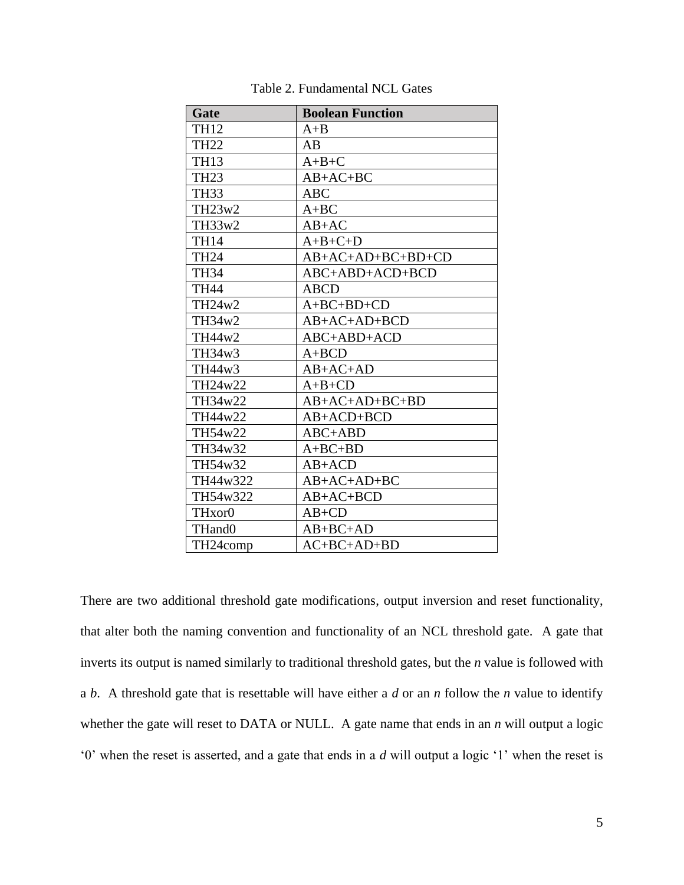| Gate                            | <b>Boolean Function</b> |
|---------------------------------|-------------------------|
| <b>TH12</b>                     | $A + B$                 |
| <b>TH22</b>                     | AB                      |
| <b>TH13</b>                     | $A+B+C$                 |
| <b>TH23</b>                     | $AB+AC+BC$              |
| <b>TH33</b>                     | <b>ABC</b>              |
| TH23w2                          | $A + BC$                |
| TH33w2                          | $AB+AC$                 |
| <b>TH14</b>                     | $A+B+C+D$               |
| <b>TH24</b>                     | AB+AC+AD+BC+BD+CD       |
| <b>TH34</b>                     | ABC+ABD+ACD+BCD         |
| <b>TH44</b>                     | <b>ABCD</b>             |
| TH24w2                          | $A+BC+BD+CD$            |
| TH34w2                          | $AB+AC+AD+BCD$          |
| TH44w2                          | ABC+ABD+ACD             |
| TH34w3                          | $A + BCD$               |
| TH44w3                          | $AB+AC+AD$              |
| TH24w22                         | $A+B+CD$                |
| TH34w22                         | $AB+AC+AD+BC+BD$        |
| TH44w22                         | $AB+ACD+BCD$            |
| TH54w22                         | $ABC+ABD$               |
| TH34w32                         | $A+BC+BD$               |
| TH54w32                         | $AB+ACD$                |
| TH44w322                        | $AB+AC+AD+BC$           |
| TH54w322                        | $AB+AC+BCD$             |
| TH <sub>x</sub> or <sub>0</sub> | $AB+CD$                 |
| THand0                          | $AB+BC+AD$              |
| TH24comp                        | $AC+BC+AD+BD$           |

Table 2. Fundamental NCL Gates

There are two additional threshold gate modifications, output inversion and reset functionality, that alter both the naming convention and functionality of an NCL threshold gate. A gate that inverts its output is named similarly to traditional threshold gates, but the *n* value is followed with a *b*. A threshold gate that is resettable will have either a *d* or an *n* follow the *n* value to identify whether the gate will reset to DATA or NULL. A gate name that ends in an *n* will output a logic '0' when the reset is asserted, and a gate that ends in a *d* will output a logic '1' when the reset is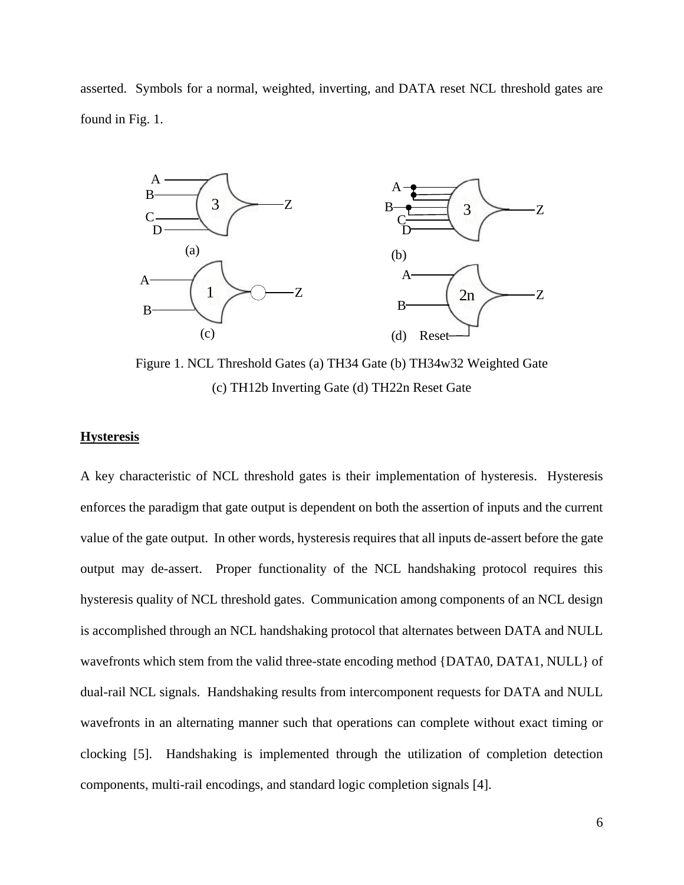asserted. Symbols for a normal, weighted, inverting, and DATA reset NCL threshold gates are found in Fig. 1.



Figure 1. NCL Threshold Gates (a) TH34 Gate (b) TH34w32 Weighted Gate (c) TH12b Inverting Gate (d) TH22n Reset Gate

#### **Hysteresis**

A key characteristic of NCL threshold gates is their implementation of hysteresis. Hysteresis enforces the paradigm that gate output is dependent on both the assertion of inputs and the current value of the gate output. In other words, hysteresis requires that all inputs de-assert before the gate output may de-assert. Proper functionality of the NCL handshaking protocol requires this hysteresis quality of NCL threshold gates. Communication among components of an NCL design is accomplished through an NCL handshaking protocol that alternates between DATA and NULL wavefronts which stem from the valid three-state encoding method {DATA0, DATA1, NULL} of dual-rail NCL signals. Handshaking results from intercomponent requests for DATA and NULL wavefronts in an alternating manner such that operations can complete without exact timing or clocking [5]. Handshaking is implemented through the utilization of completion detection components, multi-rail encodings, and standard logic completion signals [4].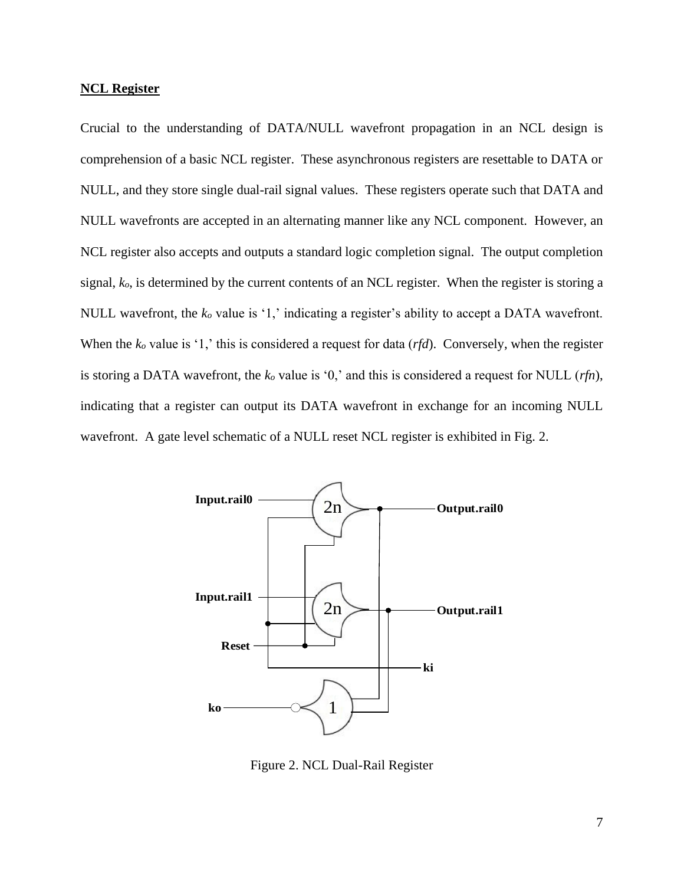#### **NCL Register**

Crucial to the understanding of DATA/NULL wavefront propagation in an NCL design is comprehension of a basic NCL register. These asynchronous registers are resettable to DATA or NULL, and they store single dual-rail signal values. These registers operate such that DATA and NULL wavefronts are accepted in an alternating manner like any NCL component. However, an NCL register also accepts and outputs a standard logic completion signal. The output completion signal, *ko*, is determined by the current contents of an NCL register. When the register is storing a NULL wavefront, the *k<sup>o</sup>* value is '1,' indicating a register's ability to accept a DATA wavefront. When the  $k<sub>o</sub>$  value is '1,' this is considered a request for data (*rfd*). Conversely, when the register is storing a DATA wavefront, the *k<sup>o</sup>* value is '0,' and this is considered a request for NULL (*rfn*), indicating that a register can output its DATA wavefront in exchange for an incoming NULL wavefront. A gate level schematic of a NULL reset NCL register is exhibited in Fig. 2.



Figure 2. NCL Dual-Rail Register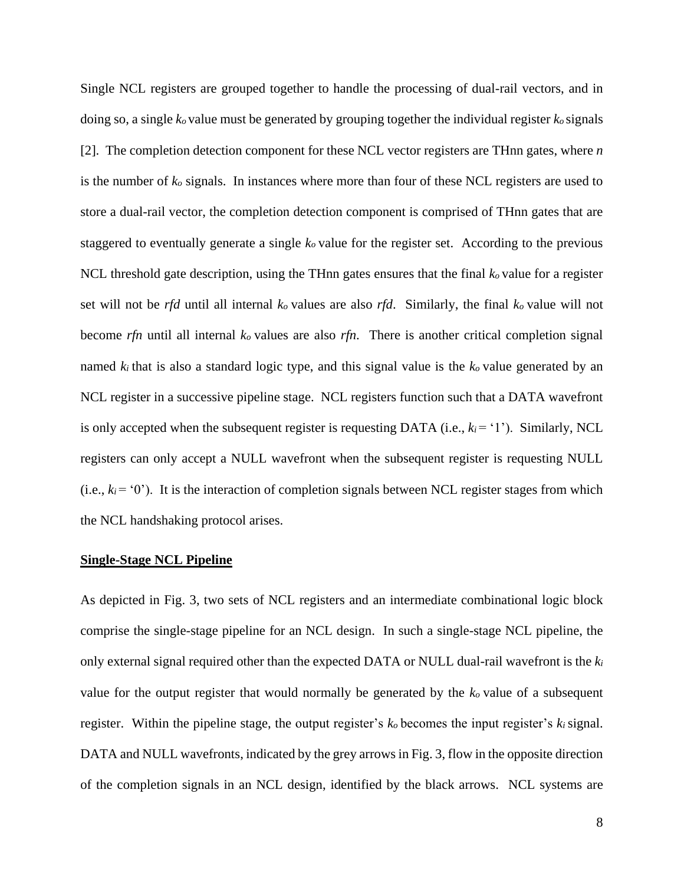Single NCL registers are grouped together to handle the processing of dual-rail vectors, and in doing so, a single *ko* value must be generated by grouping together the individual register *ko* signals [2]. The completion detection component for these NCL vector registers are THnn gates, where *n* is the number of *k<sup>o</sup>* signals. In instances where more than four of these NCL registers are used to store a dual-rail vector, the completion detection component is comprised of THnn gates that are staggered to eventually generate a single *ko* value for the register set. According to the previous NCL threshold gate description, using the THnn gates ensures that the final *ko* value for a register set will not be *rfd* until all internal *ko* values are also *rfd*. Similarly, the final *ko* value will not become *rfn* until all internal *ko* values are also *rfn*. There is another critical completion signal named  $k_i$  that is also a standard logic type, and this signal value is the  $k_o$  value generated by an NCL register in a successive pipeline stage. NCL registers function such that a DATA wavefront is only accepted when the subsequent register is requesting DATA (i.e.,  $k_i = \{1\}$ ). Similarly, NCL registers can only accept a NULL wavefront when the subsequent register is requesting NULL (i.e.,  $k_i = (0)$ ). It is the interaction of completion signals between NCL register stages from which the NCL handshaking protocol arises.

#### **Single-Stage NCL Pipeline**

As depicted in Fig. 3, two sets of NCL registers and an intermediate combinational logic block comprise the single-stage pipeline for an NCL design. In such a single-stage NCL pipeline, the only external signal required other than the expected DATA or NULL dual-rail wavefront is the *k<sup>i</sup>* value for the output register that would normally be generated by the *ko* value of a subsequent register. Within the pipeline stage, the output register's *ko* becomes the input register's *ki* signal. DATA and NULL wavefronts, indicated by the grey arrows in Fig. 3, flow in the opposite direction of the completion signals in an NCL design, identified by the black arrows. NCL systems are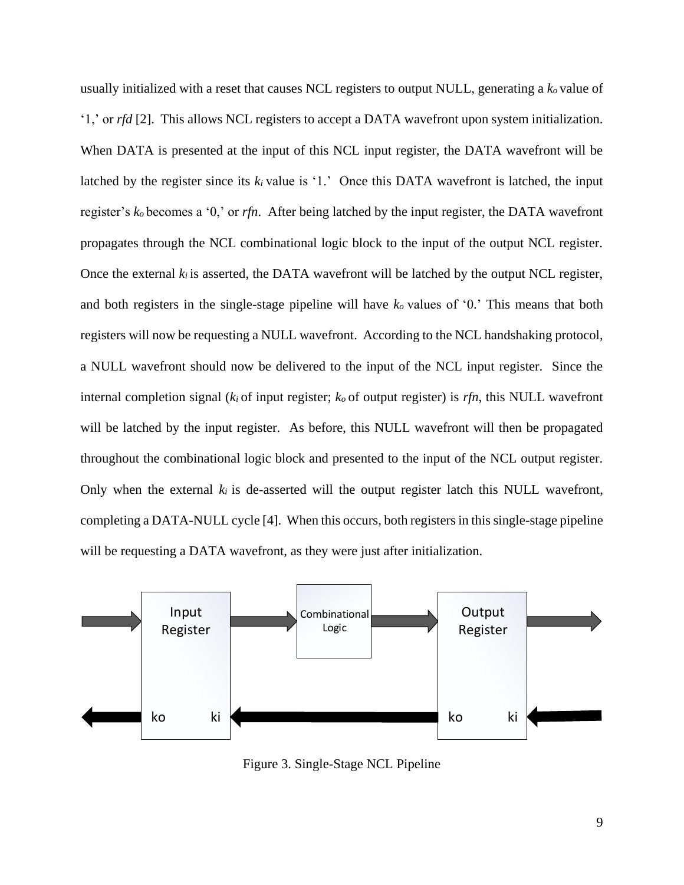usually initialized with a reset that causes NCL registers to output NULL, generating a *k<sup>o</sup>* value of '1,' or *rfd* [2]. This allows NCL registers to accept a DATA wavefront upon system initialization. When DATA is presented at the input of this NCL input register, the DATA wavefront will be latched by the register since its  $k_i$  value is '1.' Once this DATA wavefront is latched, the input register's *ko* becomes a '0,' or *rfn*. After being latched by the input register, the DATA wavefront propagates through the NCL combinational logic block to the input of the output NCL register. Once the external  $k_i$  is asserted, the DATA wavefront will be latched by the output NCL register, and both registers in the single-stage pipeline will have *ko* values of '0.' This means that both registers will now be requesting a NULL wavefront. According to the NCL handshaking protocol, a NULL wavefront should now be delivered to the input of the NCL input register. Since the internal completion signal ( $k_i$  of input register;  $k_o$  of output register) is  $rfn$ , this NULL wavefront will be latched by the input register. As before, this NULL wavefront will then be propagated throughout the combinational logic block and presented to the input of the NCL output register. Only when the external  $k_i$  is de-asserted will the output register latch this NULL wavefront, completing a DATA-NULL cycle [4]. When this occurs, both registers in this single-stage pipeline will be requesting a DATA wavefront, as they were just after initialization.



Figure 3. Single-Stage NCL Pipeline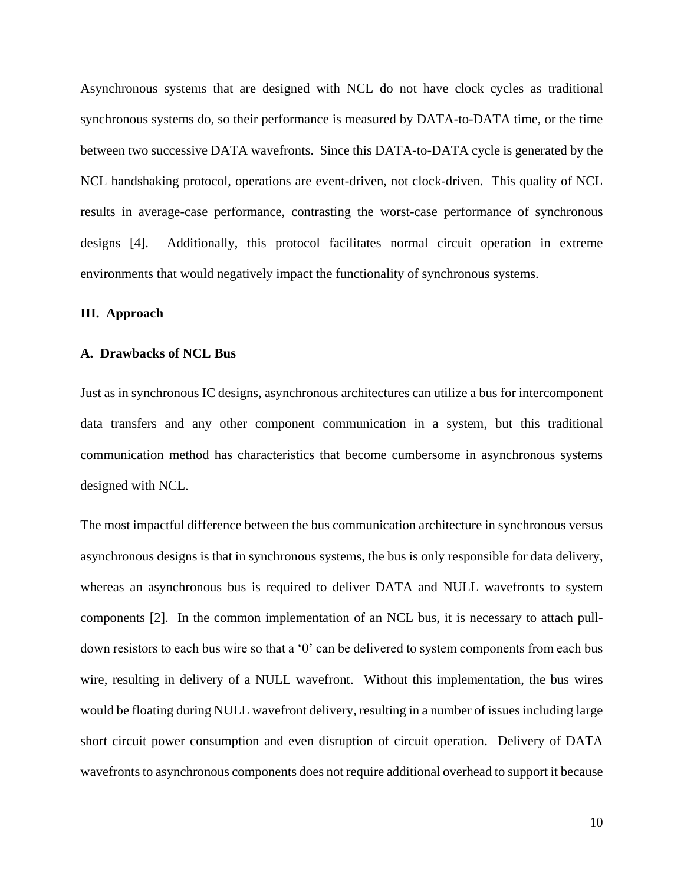Asynchronous systems that are designed with NCL do not have clock cycles as traditional synchronous systems do, so their performance is measured by DATA-to-DATA time, or the time between two successive DATA wavefronts. Since this DATA-to-DATA cycle is generated by the NCL handshaking protocol, operations are event-driven, not clock-driven. This quality of NCL results in average-case performance, contrasting the worst-case performance of synchronous designs [4]. Additionally, this protocol facilitates normal circuit operation in extreme environments that would negatively impact the functionality of synchronous systems.

#### **III. Approach**

#### **A. Drawbacks of NCL Bus**

Just as in synchronous IC designs, asynchronous architectures can utilize a bus for intercomponent data transfers and any other component communication in a system, but this traditional communication method has characteristics that become cumbersome in asynchronous systems designed with NCL.

The most impactful difference between the bus communication architecture in synchronous versus asynchronous designs is that in synchronous systems, the bus is only responsible for data delivery, whereas an asynchronous bus is required to deliver DATA and NULL wavefronts to system components [2]. In the common implementation of an NCL bus, it is necessary to attach pulldown resistors to each bus wire so that a '0' can be delivered to system components from each bus wire, resulting in delivery of a NULL wavefront. Without this implementation, the bus wires would be floating during NULL wavefront delivery, resulting in a number of issues including large short circuit power consumption and even disruption of circuit operation. Delivery of DATA wavefronts to asynchronous components does not require additional overhead to support it because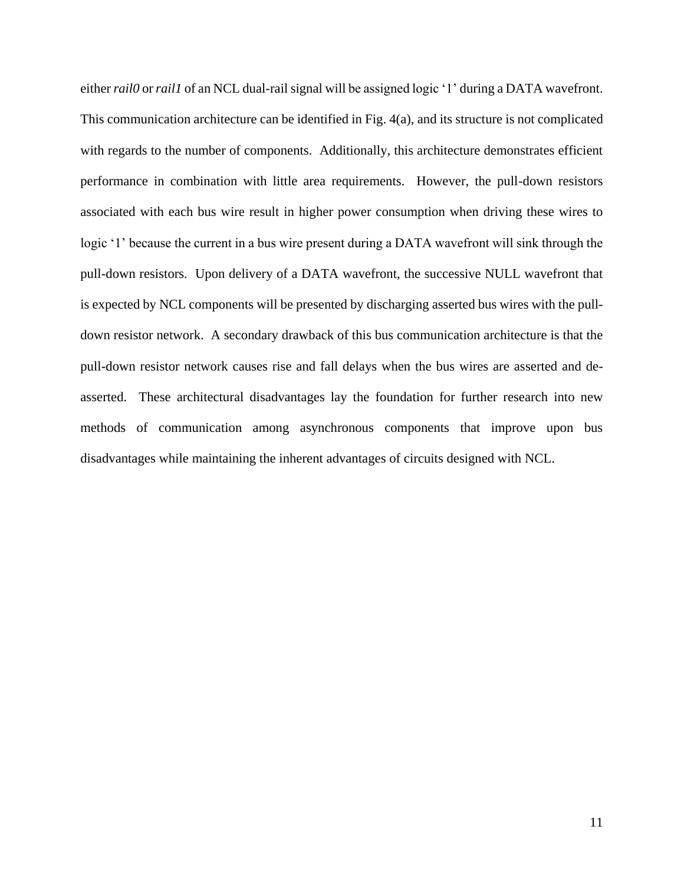either *rail0* or *rail1* of an NCL dual-rail signal will be assigned logic '1' during a DATA wavefront. This communication architecture can be identified in Fig. 4(a), and its structure is not complicated with regards to the number of components. Additionally, this architecture demonstrates efficient performance in combination with little area requirements. However, the pull-down resistors associated with each bus wire result in higher power consumption when driving these wires to logic '1' because the current in a bus wire present during a DATA wavefront will sink through the pull-down resistors. Upon delivery of a DATA wavefront, the successive NULL wavefront that is expected by NCL components will be presented by discharging asserted bus wires with the pulldown resistor network. A secondary drawback of this bus communication architecture is that the pull-down resistor network causes rise and fall delays when the bus wires are asserted and deasserted. These architectural disadvantages lay the foundation for further research into new methods of communication among asynchronous components that improve upon bus disadvantages while maintaining the inherent advantages of circuits designed with NCL.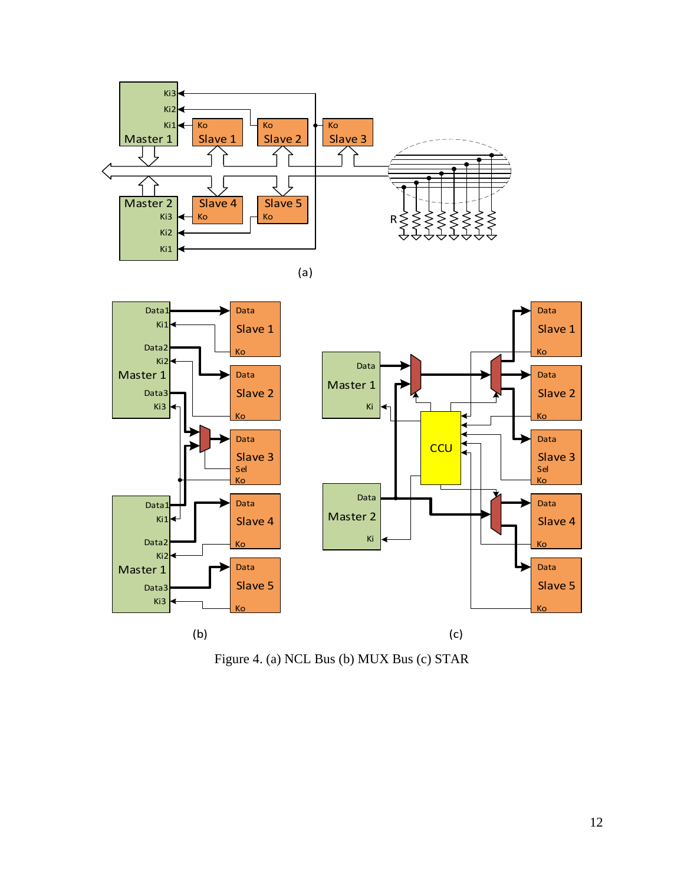

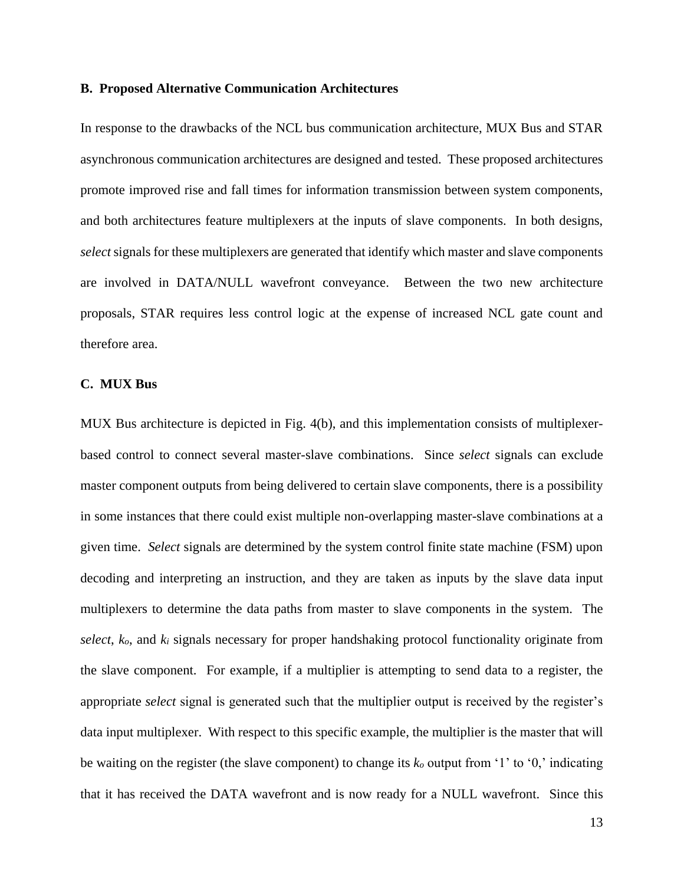#### **B. Proposed Alternative Communication Architectures**

In response to the drawbacks of the NCL bus communication architecture, MUX Bus and STAR asynchronous communication architectures are designed and tested. These proposed architectures promote improved rise and fall times for information transmission between system components, and both architectures feature multiplexers at the inputs of slave components. In both designs, *select* signals for these multiplexers are generated that identify which master and slave components are involved in DATA/NULL wavefront conveyance. Between the two new architecture proposals, STAR requires less control logic at the expense of increased NCL gate count and therefore area.

#### **C. MUX Bus**

MUX Bus architecture is depicted in Fig. 4(b), and this implementation consists of multiplexerbased control to connect several master-slave combinations. Since *select* signals can exclude master component outputs from being delivered to certain slave components, there is a possibility in some instances that there could exist multiple non-overlapping master-slave combinations at a given time. *Select* signals are determined by the system control finite state machine (FSM) upon decoding and interpreting an instruction, and they are taken as inputs by the slave data input multiplexers to determine the data paths from master to slave components in the system. The *select*, *ko*, and *k<sup>i</sup>* signals necessary for proper handshaking protocol functionality originate from the slave component. For example, if a multiplier is attempting to send data to a register, the appropriate *select* signal is generated such that the multiplier output is received by the register's data input multiplexer. With respect to this specific example, the multiplier is the master that will be waiting on the register (the slave component) to change its *k<sup>o</sup>* output from '1' to '0,' indicating that it has received the DATA wavefront and is now ready for a NULL wavefront. Since this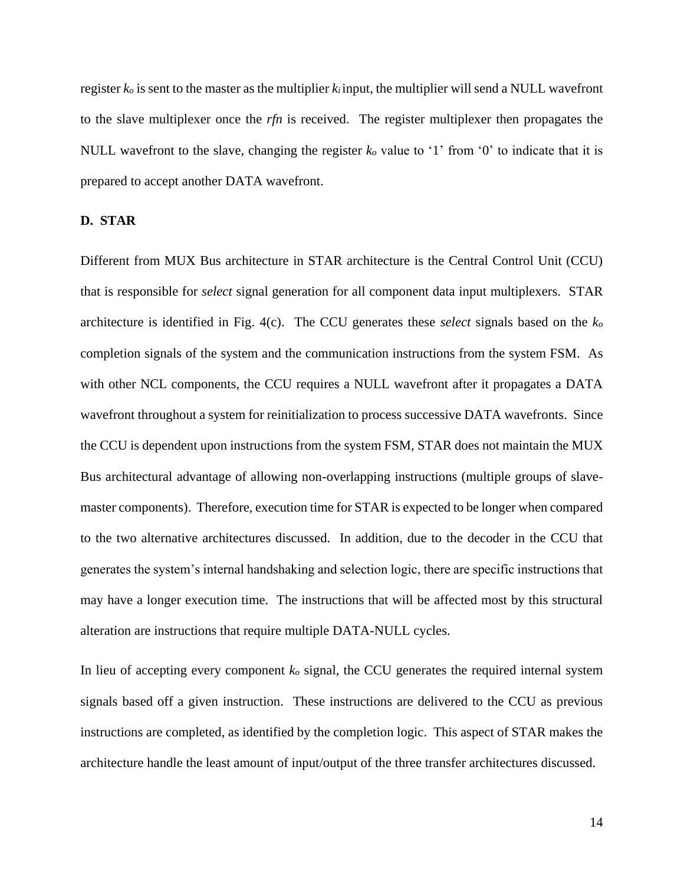register *k<sup>o</sup>* is sent to the master as the multiplier *ki* input, the multiplier will send a NULL wavefront to the slave multiplexer once the *rfn* is received. The register multiplexer then propagates the NULL wavefront to the slave, changing the register *k<sup>o</sup>* value to '1' from '0' to indicate that it is prepared to accept another DATA wavefront.

### **D. STAR**

Different from MUX Bus architecture in STAR architecture is the Central Control Unit (CCU) that is responsible for *select* signal generation for all component data input multiplexers. STAR architecture is identified in Fig. 4(c). The CCU generates these *select* signals based on the *k<sup>o</sup>* completion signals of the system and the communication instructions from the system FSM. As with other NCL components, the CCU requires a NULL wavefront after it propagates a DATA wavefront throughout a system for reinitialization to process successive DATA wavefronts. Since the CCU is dependent upon instructions from the system FSM, STAR does not maintain the MUX Bus architectural advantage of allowing non-overlapping instructions (multiple groups of slavemaster components). Therefore, execution time for STAR is expected to be longer when compared to the two alternative architectures discussed. In addition, due to the decoder in the CCU that generates the system's internal handshaking and selection logic, there are specific instructions that may have a longer execution time. The instructions that will be affected most by this structural alteration are instructions that require multiple DATA-NULL cycles.

In lieu of accepting every component *k<sup>o</sup>* signal, the CCU generates the required internal system signals based off a given instruction. These instructions are delivered to the CCU as previous instructions are completed, as identified by the completion logic. This aspect of STAR makes the architecture handle the least amount of input/output of the three transfer architectures discussed.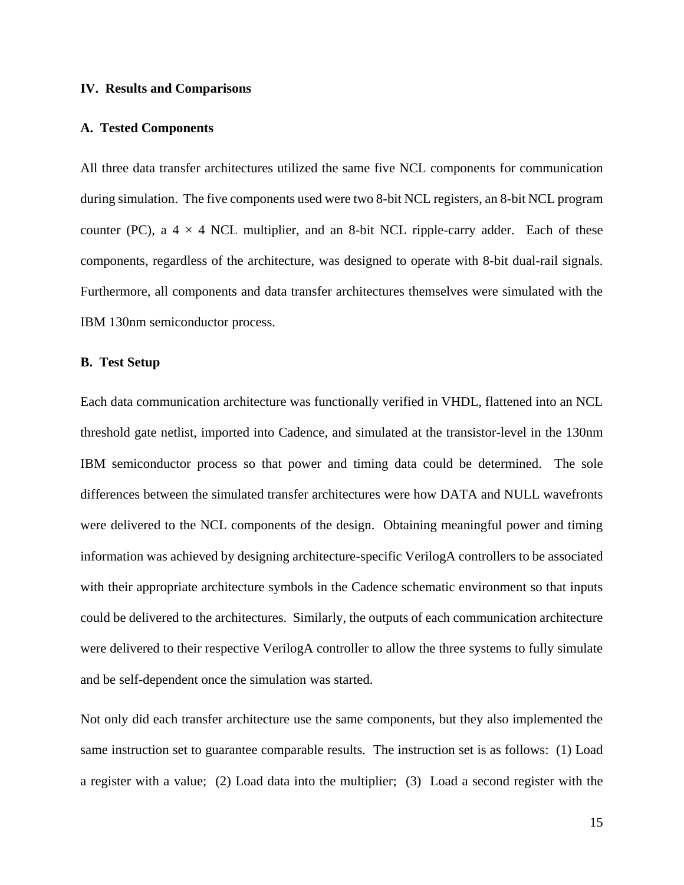#### **IV. Results and Comparisons**

#### **A. Tested Components**

All three data transfer architectures utilized the same five NCL components for communication during simulation. The five components used were two 8-bit NCL registers, an 8-bit NCL program counter (PC), a  $4 \times 4$  NCL multiplier, and an 8-bit NCL ripple-carry adder. Each of these components, regardless of the architecture, was designed to operate with 8-bit dual-rail signals. Furthermore, all components and data transfer architectures themselves were simulated with the IBM 130nm semiconductor process.

#### **B. Test Setup**

Each data communication architecture was functionally verified in VHDL, flattened into an NCL threshold gate netlist, imported into Cadence, and simulated at the transistor-level in the 130nm IBM semiconductor process so that power and timing data could be determined. The sole differences between the simulated transfer architectures were how DATA and NULL wavefronts were delivered to the NCL components of the design. Obtaining meaningful power and timing information was achieved by designing architecture-specific VerilogA controllers to be associated with their appropriate architecture symbols in the Cadence schematic environment so that inputs could be delivered to the architectures. Similarly, the outputs of each communication architecture were delivered to their respective VerilogA controller to allow the three systems to fully simulate and be self-dependent once the simulation was started.

Not only did each transfer architecture use the same components, but they also implemented the same instruction set to guarantee comparable results. The instruction set is as follows: (1) Load a register with a value; (2) Load data into the multiplier; (3) Load a second register with the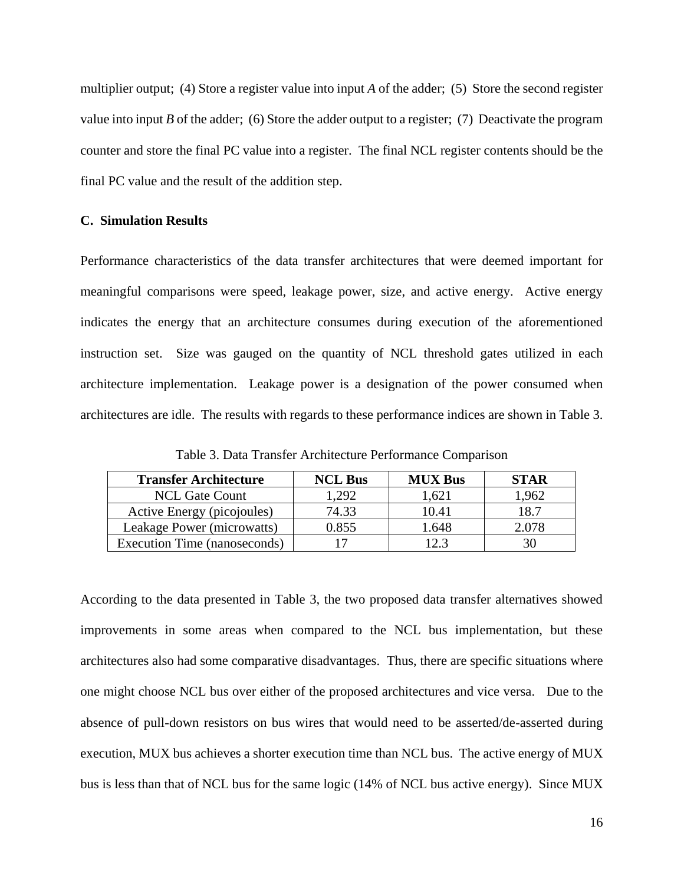multiplier output; (4) Store a register value into input *A* of the adder; (5) Store the second register value into input *B* of the adder; (6) Store the adder output to a register; (7) Deactivate the program counter and store the final PC value into a register. The final NCL register contents should be the final PC value and the result of the addition step.

#### **C. Simulation Results**

Performance characteristics of the data transfer architectures that were deemed important for meaningful comparisons were speed, leakage power, size, and active energy. Active energy indicates the energy that an architecture consumes during execution of the aforementioned instruction set. Size was gauged on the quantity of NCL threshold gates utilized in each architecture implementation. Leakage power is a designation of the power consumed when architectures are idle. The results with regards to these performance indices are shown in Table 3.

| <b>Transfer Architecture</b> | <b>NCL Bus</b> | <b>MUX Bus</b> | <b>STAR</b> |
|------------------------------|----------------|----------------|-------------|
| <b>NCL Gate Count</b>        | 1,292          | 1,621          | 1,962       |
| Active Energy (picojoules)   | 74.33          | 10.41          | 18.7        |
| Leakage Power (microwatts)   | 0.855          | 1.648          | 2.078       |
| Execution Time (nanoseconds) |                | 12.3           |             |

Table 3. Data Transfer Architecture Performance Comparison

According to the data presented in Table 3, the two proposed data transfer alternatives showed improvements in some areas when compared to the NCL bus implementation, but these architectures also had some comparative disadvantages. Thus, there are specific situations where one might choose NCL bus over either of the proposed architectures and vice versa. Due to the absence of pull-down resistors on bus wires that would need to be asserted/de-asserted during execution, MUX bus achieves a shorter execution time than NCL bus. The active energy of MUX bus is less than that of NCL bus for the same logic (14% of NCL bus active energy). Since MUX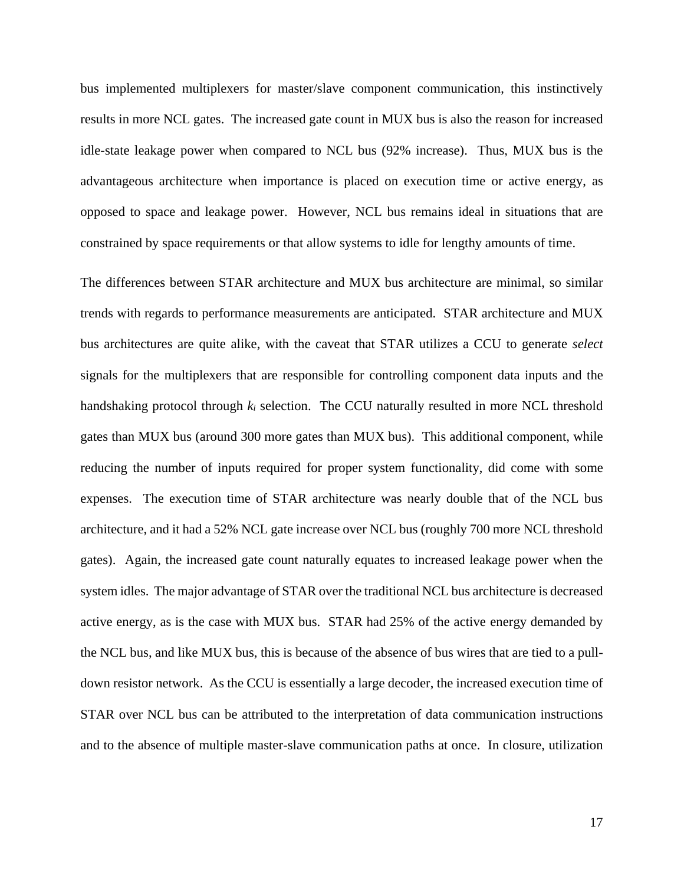bus implemented multiplexers for master/slave component communication, this instinctively results in more NCL gates. The increased gate count in MUX bus is also the reason for increased idle-state leakage power when compared to NCL bus (92% increase). Thus, MUX bus is the advantageous architecture when importance is placed on execution time or active energy, as opposed to space and leakage power. However, NCL bus remains ideal in situations that are constrained by space requirements or that allow systems to idle for lengthy amounts of time.

The differences between STAR architecture and MUX bus architecture are minimal, so similar trends with regards to performance measurements are anticipated. STAR architecture and MUX bus architectures are quite alike, with the caveat that STAR utilizes a CCU to generate *select* signals for the multiplexers that are responsible for controlling component data inputs and the handshaking protocol through *k<sup>i</sup>* selection. The CCU naturally resulted in more NCL threshold gates than MUX bus (around 300 more gates than MUX bus). This additional component, while reducing the number of inputs required for proper system functionality, did come with some expenses. The execution time of STAR architecture was nearly double that of the NCL bus architecture, and it had a 52% NCL gate increase over NCL bus (roughly 700 more NCL threshold gates). Again, the increased gate count naturally equates to increased leakage power when the system idles. The major advantage of STAR over the traditional NCL bus architecture is decreased active energy, as is the case with MUX bus. STAR had 25% of the active energy demanded by the NCL bus, and like MUX bus, this is because of the absence of bus wires that are tied to a pulldown resistor network. As the CCU is essentially a large decoder, the increased execution time of STAR over NCL bus can be attributed to the interpretation of data communication instructions and to the absence of multiple master-slave communication paths at once. In closure, utilization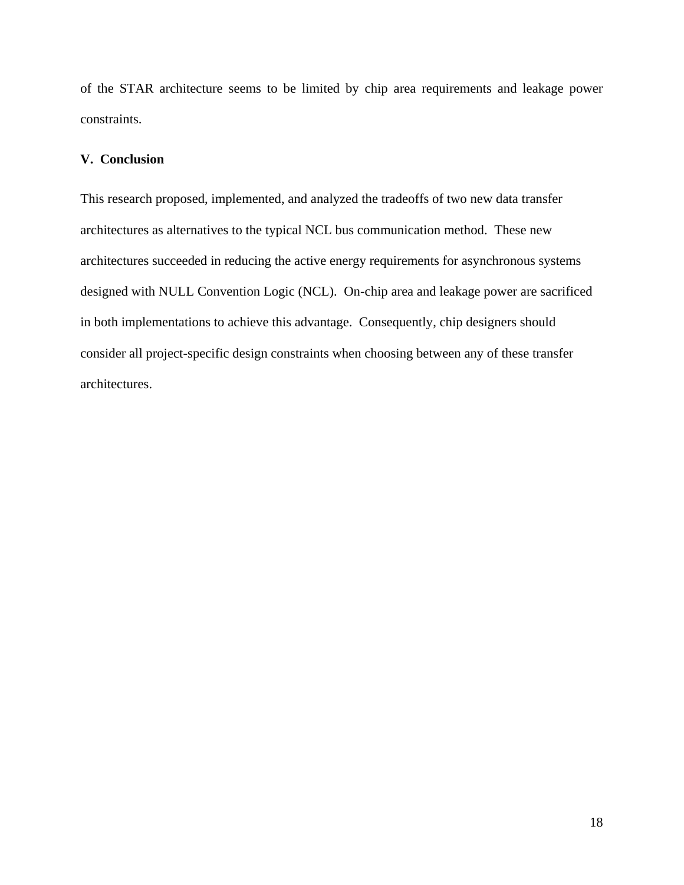of the STAR architecture seems to be limited by chip area requirements and leakage power constraints.

## **V. Conclusion**

This research proposed, implemented, and analyzed the tradeoffs of two new data transfer architectures as alternatives to the typical NCL bus communication method. These new architectures succeeded in reducing the active energy requirements for asynchronous systems designed with NULL Convention Logic (NCL). On-chip area and leakage power are sacrificed in both implementations to achieve this advantage. Consequently, chip designers should consider all project-specific design constraints when choosing between any of these transfer architectures.